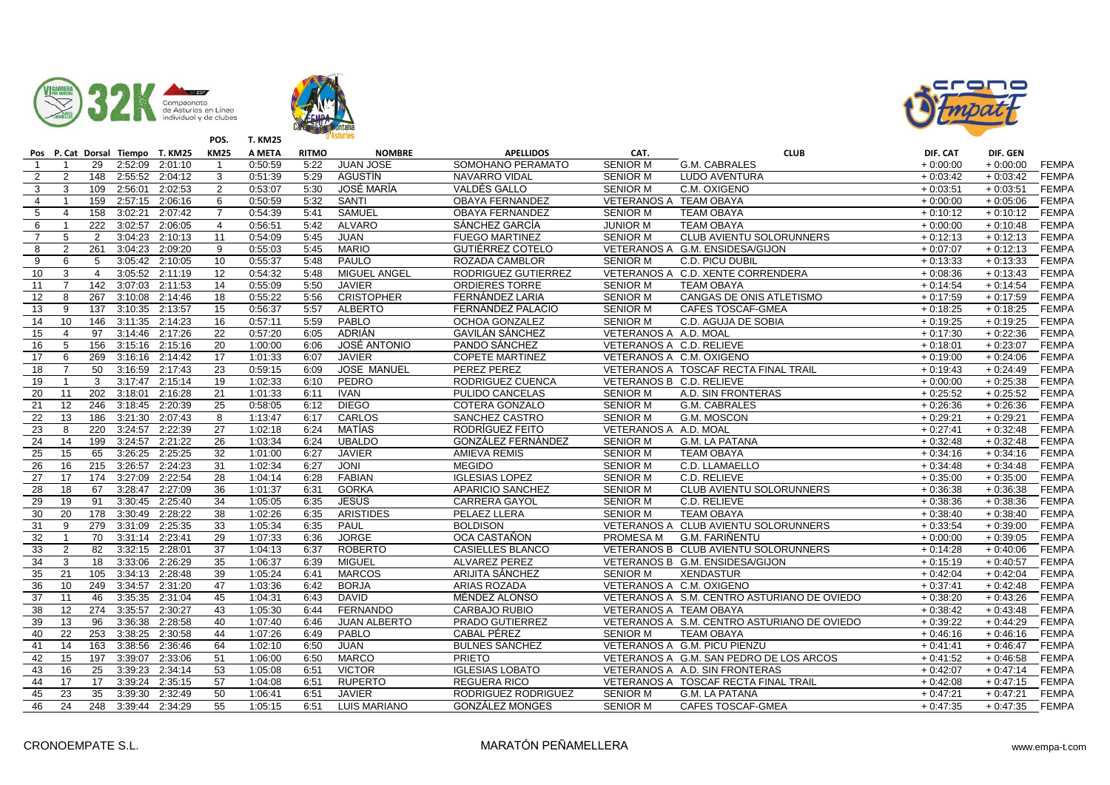





|                 |                 |                 |                 | Pos P. Cat Dorsal Tiempo T. KM25 | <b>KM25</b>     | A META  | <b>RITMO</b> | <b>NOMBRE</b>       | <b>APELLIDOS</b>        | CAT.                     | <b>CLUB</b>                                 | DIF. CAT   | DIF. GEN   |              |
|-----------------|-----------------|-----------------|-----------------|----------------------------------|-----------------|---------|--------------|---------------------|-------------------------|--------------------------|---------------------------------------------|------------|------------|--------------|
| $\overline{1}$  | $\overline{1}$  | 29              |                 | 2:52:09 2:01:10                  | $\overline{1}$  | 0:50:59 | 5:22         | <b>JUAN JOSE</b>    | SOMOHANO PERAMATO       | <b>SENIOR M</b>          | <b>G.M. CABRALES</b>                        | $+0:00:00$ | $+0:00:00$ | <b>FEMPA</b> |
| 2               | 2               | 148             | 2:55:52         | 2:04:12                          | 3               | 0:51:39 | 5:29         | <b>AGUSTÍN</b>      | <b>NAVARRO VIDAL</b>    | <b>SENIOR M</b>          | <b>LUDO AVENTURA</b>                        | $+0:03:42$ | $+0:03:42$ | <b>FEMPA</b> |
| $\mathbf{3}$    | 3               | 109             | 2:56:01         | 2:02:53                          | $\overline{2}$  | 0:53:07 | 5:30         | JOSÉ MARÍA          | VALDÉS GALLO            | <b>SENIOR M</b>          | C.M. OXIGENO                                | $+0:03:51$ | $+0:03:51$ | <b>FEMPA</b> |
| $\overline{4}$  | -1              | 159             |                 | 2:57:15 2:06:16                  | 6               | 0:50:59 | 5:32         | <b>SANTI</b>        | OBAYA FERNANDEZ         | VETERANOS A TEAM OBAYA   |                                             | $+0:00:00$ | $+0:05:06$ | <b>FEMPA</b> |
| $5\phantom{.0}$ | $\overline{4}$  | 158             | 3:02:21         | 2:07:42                          | $\overline{7}$  | 0:54:39 | 5:41         | SAMUEL              | OBAYA FERNANDEZ         | <b>SENIOR M</b>          | <b>TEAM OBAYA</b>                           | $+0:10:12$ | $+0:10:12$ | <b>FEMPA</b> |
| 6               | $\overline{1}$  | 222             | 3:02:57         | 2:06:05                          | $\overline{4}$  | 0:56:51 | 5:42         | <b>ALVARO</b>       | SÁNCHEZ GARCÍA          | <b>JUNIOR M</b>          | <b>TEAM OBAYA</b>                           | $+0:00:00$ | $+0:10:48$ | <b>FEMPA</b> |
| $\overline{7}$  | $\overline{5}$  | 2               | 3:04:23         | 2:10:13                          | $\overline{11}$ | 0:54:09 | 5:45         | <b>JUAN</b>         | <b>FUEGO MARTINEZ</b>   | <b>SENIOR M</b>          | <b>CLUB AVIENTU SOLORUNNERS</b>             | $+0:12:13$ | $+0:12:13$ | <b>FEMPA</b> |
| 8               | $\overline{2}$  | 261             |                 | 3:04:23 2:09:20                  | 9               | 0:55:03 | 5:45         | <b>MARIO</b>        | <b>GUTIÉRREZ COTELO</b> |                          | VETERANOS A G.M. ENSIDESA/GIJON             | $+0:07:07$ | $+0:12:13$ | <b>FEMPA</b> |
| 9               | 6               | 5               |                 | 3:05:42 2:10:05                  | 10              | 0:55:37 | 5:48         | PAULO               | ROZADA CAMBLOR          | <b>SENIOR M</b>          | C.D. PICU DUBIL                             | $+0:13:33$ | $+0:13:33$ | <b>FEMPA</b> |
| 10              | 3               | $\overline{4}$  |                 | 3:05:52 2:11:19                  | $\overline{12}$ | 0:54:32 | 5:48         | MIGUEL ANGEL        | RODRIGUEZ GUTIERREZ     |                          | VETERANOS A C.D. XENTE CORRENDERA           | $+0:08:36$ | $+0:13:43$ | <b>FEMPA</b> |
| 11              | $\overline{7}$  | 142             |                 | 3:07:03 2:11:53                  | 14              | 0:55:09 | 5:50         | <b>JAVIER</b>       | <b>ORDIERES TORRE</b>   | <b>SENIOR M</b>          | <b>TEAM OBAYA</b>                           | $+0:14:54$ | $+0:14:54$ | <b>FEMPA</b> |
| 12              | 8               | 267             | 3:10:08         | 2:14:46                          | 18              | 0:55:22 | 5:56         | <b>CRISTOPHER</b>   | FERNÁNDEZ LARIA         | <b>SENIOR M</b>          | CANGAS DE ONIS ATLETISMO                    | $+0:17:59$ | $+0:17:59$ | <b>FEMPA</b> |
| 13              | 9               | 137             | 3:10:35         | 2:13:57                          | 15              | 0:56:37 | 5:57         | <b>ALBERTO</b>      | FERNÁNDEZ PALACIO       | <b>SENIOR M</b>          | CAFES TOSCAF-GMEA                           | $+0:18:25$ | $+0:18:25$ | <b>FEMPA</b> |
| 14              | 10              | 146             |                 | 3:11:35 2:14:23                  | 16              | 0:57:11 | 5:59         | PABLO               | OCHOA GONZALEZ          | <b>SENIOR M</b>          | C.D. AGUJA DE SOBIA                         | $+0:19:25$ | $+0:19:25$ | <b>FEMPA</b> |
| 15              | $\overline{4}$  | 97              |                 | 3:14:46 2:17:26                  | 22              | 0:57:20 | 6:05         | ADRIÁN              | <b>GAVILÁN SÁNCHEZ</b>  | VETERANOS A A.D. MOAL    |                                             | $+0:17:30$ | $+0:22:36$ | <b>FEMPA</b> |
| 16              | 5               | 156             |                 | 3:15:16 2:15:16                  | 20              | 1:00:00 | 6:06         | <b>JOSÉ ANTONIO</b> | PANDO SÁNCHEZ           | VETERANOS A C.D. RELIEVE |                                             | $+0:18:01$ | $+0:23:07$ | <b>FEMPA</b> |
| 17              | 6               | 269             |                 | 3:16:16 2:14:42                  | $\overline{17}$ | 1:01:33 | 6:07         | <b>JAVIER</b>       | <b>COPETE MARTINEZ</b>  | VETERANOS A C.M. OXIGENO |                                             | $+0:19:00$ | $+0:24:06$ | <b>FEMPA</b> |
| 18              | $\overline{7}$  | 50              |                 | 3:16:59 2:17:43                  | 23              | 0:59:15 | 6:09         | <b>JOSE MANUEL</b>  | PEREZ PEREZ             |                          | VETERANOS A TOSCAF RECTA FINAL TRAIL        | $+0:19:43$ | $+0:24:49$ | <b>FEMPA</b> |
| 19              | $\overline{1}$  | 3               | 3:17:47         | 2:15:14                          | 19              | 1:02:33 | 6:10         | PEDRO               | RODRIGUEZ CUENCA        | VETERANOS B C.D. RELIEVE |                                             | $+0:00:00$ | $+0:25:38$ | <b>FEMPA</b> |
| 20              | 11              | 202             | 3:18:01         | 2:16:28                          | 21              | 1:01:33 | 6:11         | <b>IVAN</b>         | PULIDO CANCELAS         | <b>SENIOR M</b>          | A.D. SIN FRONTERAS                          | $+0:25:52$ | $+0:25:52$ | <b>FEMPA</b> |
| 21              | 12              | 246             |                 | 3:18:45 2:20:39                  | 25              | 0:58:05 | 6:12         | <b>DIEGO</b>        | COTERA GONZALO          | <b>SENIOR M</b>          | <b>G.M. CABRALES</b>                        | $+0:26:36$ | $+0:26:36$ | <b>FEMPA</b> |
| 22              | 13              | 186             | 3:21:30         | 2:07:43                          | 8               | 1:13:47 | 6:17         | CARLOS              | <b>SANCHEZ CASTRO</b>   | <b>SENIOR M</b>          | G.M. MOSCON                                 | $+0:29:21$ | $+0.29:21$ | <b>FEMPA</b> |
| 23              | 8               | 220             |                 | 3:24:57 2:22:39                  | 27              | 1:02:18 | 6:24         | <b>MATÍAS</b>       | RODRÍGUEZ FEITO         | VETERANOS A A.D. MOAL    |                                             | $+0:27:41$ | $+0:32:48$ | <b>FEMPA</b> |
| $\overline{24}$ | 14              | 199             | 3:24:57         | 2:21:22                          | 26              | 1:03:34 | 6:24         | <b>UBALDO</b>       | GONZÁLEZ FERNÁNDEZ      | <b>SENIOR M</b>          | G.M. LA PATANA                              | $+0:32:48$ | $+0:32:48$ | <b>FEMPA</b> |
| 25              | 15              | 65              | 3:26:25         | 2:25:25                          | 32              | 1:01:00 | 6:27         | <b>JAVIER</b>       | <b>AMIEVA REMIS</b>     | <b>SENIOR M</b>          | <b>TEAM OBAYA</b>                           | $+0:34:16$ | $+0:34:16$ | <b>FEMPA</b> |
| 26              | 16              | 215             | 3:26:57         | 2:24:23                          | 31              | 1:02:34 | 6:27         | <b>JONI</b>         | <b>MEGIDO</b>           | <b>SENIOR M</b>          | C.D. LLAMAELLO                              | $+0:34:48$ | $+0:34:48$ | <b>FEMPA</b> |
| 27              | 17              | 174             | 3:27:09         | 2:22:54                          | 28              | 1:04:14 | 6:28         | <b>FABIAN</b>       | <b>IGLESIAS LOPEZ</b>   | <b>SENIOR M</b>          | C.D. RELIEVE                                | $+0:35:00$ | $+0:35:00$ | <b>FEMPA</b> |
| 28              | 18              | 67              | 3:28:47         | 2:27:09                          | 36              | 1:01:37 | 6:31         | <b>GORKA</b>        | <b>APARICIO SANCHEZ</b> | <b>SENIOR M</b>          | <b>CLUB AVIENTU SOLORUNNERS</b>             | $+0:36:38$ | $+0:36:38$ | <b>FEMPA</b> |
| 29              | $\overline{19}$ | 91              | 3:30:45         | 2:25:40                          | $\overline{34}$ | 1:05:05 | 6:35         | <b>JESÚS</b>        | <b>CARRERA GAYOL</b>    | <b>SENIOR M</b>          | C.D. RELIEVE                                | $+0:38:36$ | $+0:38:36$ | <b>FEMPA</b> |
| 30              | 20              | 178             | 3:30:49         | 2:28:22                          | 38              | 1:02:26 | 6:35         | <b>ARISTIDES</b>    | PELAEZ LLERA            | <b>SENIOR M</b>          | <b>TEAM OBAYA</b>                           | $+0:38:40$ | $+0:38:40$ | <b>FEMPA</b> |
| 31              | 9               | 279             |                 | 3:31:09 2:25:35                  | 33              | 1:05:34 | 6:35         | <b>PAUL</b>         | <b>BOLDISON</b>         |                          | VETERANOS A CLUB AVIENTU SOLORUNNERS        | $+0:33:54$ | $+0:39:00$ | <b>FEMPA</b> |
| 32              |                 | $\overline{70}$ | 3:31:14 2:23:41 |                                  | $\overline{29}$ | 1:07:33 | 6:36         | <b>JORGE</b>        | OCA CASTAÑON            | PROMESA M                | G.M. FARIÑENTU                              | $+0:00:00$ | $+0:39:05$ | <b>FEMPA</b> |
| 33              | 2               | 82              | 3:32:15 2:28:01 |                                  | 37              | 1:04:13 | 6:37         | <b>ROBERTO</b>      | CASIELLES BLANCO        |                          | VETERANOS B CLUB AVIENTU SOLORUNNERS        | $+0:14:28$ | $+0:40:06$ | <b>FEMPA</b> |
| 34              | 3               | $\overline{18}$ |                 | 3:33:06 2:26:29                  | $\overline{35}$ | 1:06:37 | 6:39         | <b>MIGUEL</b>       | <b>ALVAREZ PEREZ</b>    |                          | VETERANOS B G.M. ENSIDESA/GIJON             | $+0:15:19$ | $+0:40:57$ | <b>FEMPA</b> |
| 35              | 21              | 105             | 3:34:13         | 2:28:48                          | 39              | 1:05:24 | 6:41         | <b>MARCOS</b>       | ARIJITA SÁNCHEZ         | <b>SENIOR M</b>          | <b>XENDASTUR</b>                            | $+0:42:04$ | $+0:42:04$ | <b>FEMPA</b> |
| 36              | 10              | 249             | 3:34:57         | 2:31:20                          | $\overline{47}$ | 1:03:36 | 6:42         | <b>BORJA</b>        | ARIAS ROZADA            | VETERANOS A C.M. OXIGENO |                                             | $+0:37:41$ | $+0:42:48$ | <b>FEMPA</b> |
| 37              | 11              | 46              | 3:35:35         | 2:31:04                          | 45              | 1:04:31 | 6:43         | <b>DAVID</b>        | MÉNDEZ ALONSO           |                          | VETERANOS A S.M. CENTRO ASTURIANO DE OVIEDO | $+0:38:20$ | $+0:43:26$ | <b>FEMPA</b> |
| 38              | 12              | 274             | 3:35:57         | 2:30:27                          | 43              | 1:05:30 | 6:44         | FERNANDO            | CARBAJO RUBIO           | VETERANOS A TEAM OBAYA   |                                             | $+0:38:42$ | $+0:43:48$ | <b>FEMPA</b> |
| 39              | 13              | 96              | 3:36:38         | 2:28:58                          | 40              | 1:07:40 | 6:46         | <b>JUAN ALBERTO</b> | PRADO GUTIERREZ         |                          | VETERANOS A S.M. CENTRO ASTURIANO DE OVIEDO | $+0:39:22$ | $+0:44:29$ | <b>FEMPA</b> |
| 40              | 22              | 253             | 3:38:25         | 2:30:58                          | 44              | 1:07:26 | 6:49         | <b>PABLO</b>        | CABAL PÉREZ             | <b>SENIOR M</b>          | <b>TEAM OBAYA</b>                           | $+0:46:16$ | $+0:46:16$ | <b>FEMPA</b> |
| 41              | 14              | 163             | 3:38:56         | 2:36:46                          | 64              | 1:02:10 | 6:50         | <b>JUAN</b>         | <b>BULNES SANCHEZ</b>   |                          | VETERANOS A G.M. PICU PIENZU                | $+0:41:41$ | $+0:46:47$ | <b>FEMPA</b> |
| 42              | 15              | 197             | 3:39:07         | 2:33:06                          | 51              | 1:06:00 | 6:50         | <b>MARCO</b>        | <b>PRIETO</b>           |                          | VETERANOS A G.M. SAN PEDRO DE LOS ARCOS     | $+0:41:52$ | $+0:46:58$ | <b>FEMPA</b> |
| 43              | 16              | 25              | 3:39:23         | 2:34:14                          | 53              | 1:05:08 | 6:51         | <b>VICTOR</b>       | <b>IGLESIAS LOBATO</b>  |                          | VETERANOS A A.D. SIN FRONTERAS              | $+0:42:07$ | $+0:47:14$ | <b>FEMPA</b> |
| 44              | 17              | $\overline{17}$ | 3:39:24         | 2:35:15                          | $\overline{57}$ | 1:04:08 | 6:51         | <b>RUPERTO</b>      | <b>REGUERA RICO</b>     |                          | VETERANOS A TOSCAF RECTA FINAL TRAIL        | $+0:42:08$ | $+0:47:15$ | <b>FEMPA</b> |
| 45              | 23              | 35              | 3:39:30         | 2:32:49                          | 50              | 1:06:41 | 6:51         | <b>JAVIER</b>       | RODRIGUEZ RODRIGUEZ     | <b>SENIOR M</b>          | <b>G.M. LA PATANA</b>                       | $+0:47:21$ | $+0:47:21$ | <b>FEMPA</b> |
| 46              | $\overline{24}$ | 248             |                 | 3:39:44 2:34:29                  | 55              | 1:05:15 | 6:51         | <b>LUIS MARIANO</b> | <b>GONZÁLEZ MONGES</b>  | <b>SENIOR M</b>          | CAFES TOSCAF-GMEA                           | $+0:47:35$ | $+0:47:35$ | <b>FEMPA</b> |
|                 |                 |                 |                 |                                  |                 |         |              |                     |                         |                          |                                             |            |            |              |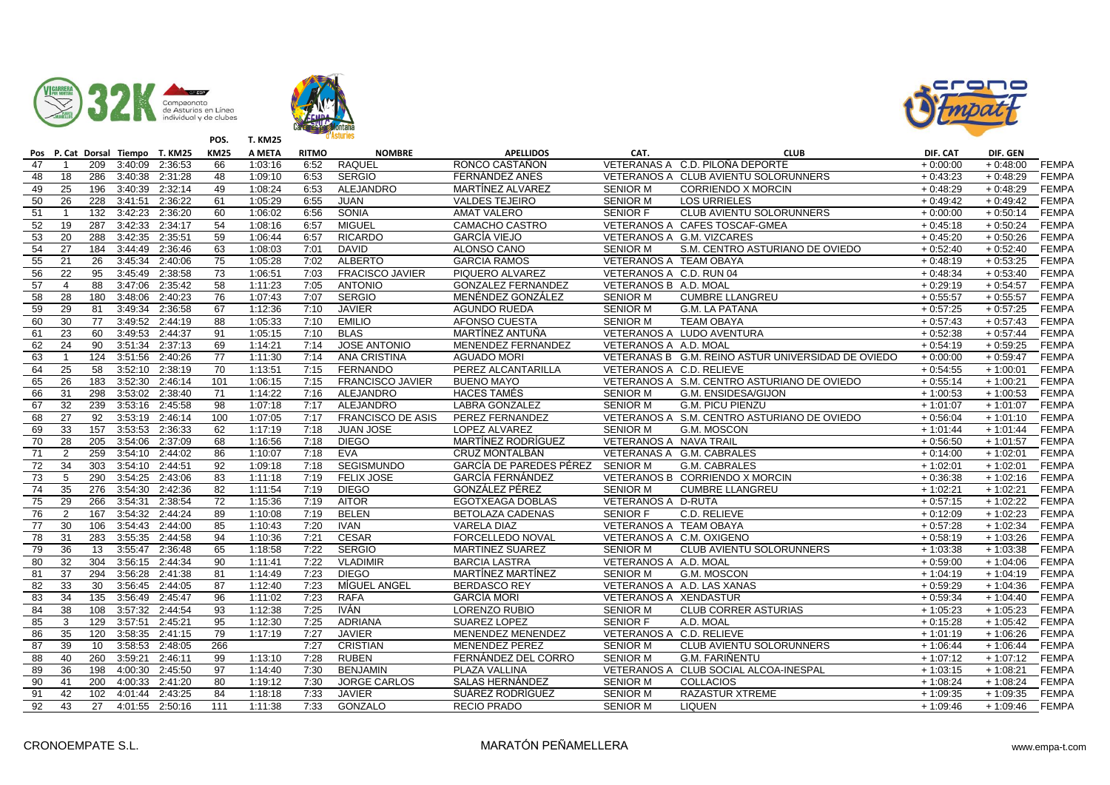





|                 |                 |     |                 | Pos P. Cat Dorsal Tiempo T. KM25 | <b>KM25</b>     | A META  | <b>RITMO</b> | <b>NOMBRE</b>            | <b>APELLIDOS</b>                 | CAT.                     | <b>CLUB</b>                                        | DIF. CAT   | DIF. GEN   |              |
|-----------------|-----------------|-----|-----------------|----------------------------------|-----------------|---------|--------------|--------------------------|----------------------------------|--------------------------|----------------------------------------------------|------------|------------|--------------|
| 47              |                 | 209 | 3:40:09         | 2:36:53                          | 66              | 1:03:16 | 6:52         | <b>RAQUEL</b>            | RONCO CASTAÑON                   |                          | VETERANAS A C.D. PILOÑA DEPORTE                    | $+0:00:00$ | $+0:48:00$ | <b>FEMPA</b> |
| 48              | 18              | 286 | 3:40:38         | 2:31:28                          | $\overline{48}$ | 1:09:10 | 6:53         | <b>SERGIO</b>            | FERNÁNDEZ ANES                   |                          | VETERANOS A CLUB AVIENTU SOLORUNNERS               | $+0:43:23$ | $+0:48:29$ | <b>FEMPA</b> |
| 49              | 25              | 196 |                 | 3:40:39 2:32:14                  | 49              | 1:08:24 | 6:53         | ALEJANDRO                | MARTÍNEZ ALVAREZ                 | <b>SENIOR M</b>          | <b>CORRIENDO X MORCIN</b>                          | $+0:48:29$ | $+0:48:29$ | <b>FEMPA</b> |
| 50              | 26              | 228 | 3:41:51         | 2:36:22                          | 61              | 1:05:29 | 6:55         | <b>JUAN</b>              | <b>VALDES TEJEIRO</b>            | <b>SENIOR M</b>          | <b>LOS URRIELES</b>                                | $+0:49:42$ | $+0:49:42$ | <b>FEMPA</b> |
| 51              | $\overline{1}$  | 132 |                 | 3:42:23 2:36:20                  | 60              | 1:06:02 | 6:56         | SONIA                    | <b>AMAT VALERO</b>               | <b>SENIOR F</b>          | CLUB AVIENTU SOLORUNNERS                           | $+0:00:00$ | $+0:50:14$ | <b>FEMPA</b> |
| 52              | 19              | 287 | 3:42:33 2:34:17 |                                  | 54              | 1:08:16 | 6:57         | <b>MIGUEL</b>            | CAMACHO CASTRO                   |                          | VETERANOS A CAFES TOSCAF-GMEA                      | $+0:45:18$ | $+0:50:24$ | <b>FEMPA</b> |
| 53              | $\overline{20}$ | 288 | 3:42:35         | 2:35:51                          | 59              | 1:06:44 | 6:57         | <b>RICARDO</b>           | <b>GARCÍA VIEJO</b>              |                          | VETERANOS A G.M. VIZCARES                          | $+0:45:20$ | $+0:50:26$ | <b>FEMPA</b> |
| 54              | 27              | 184 | 3:44:49         | 2:36:46                          | 63              | 1:08:03 | 7:01         | <b>DAVID</b>             | ALONSO CANO                      | <b>SENIOR M</b>          | S.M. CENTRO ASTURIANO DE OVIEDO                    | $+0:52:40$ | $+0:52:40$ | <b>FEMPA</b> |
| 55              | 21              | 26  |                 | 3:45:34 2:40:06                  | 75              | 1:05:28 | 7:02         | <b>ALBERTO</b>           | <b>GARCIA RAMOS</b>              | VETERANOS A TEAM OBAYA   |                                                    | $+0:48:19$ | $+0:53:25$ | <b>FEMPA</b> |
| 56              | $\overline{22}$ | 95  |                 | 3:45:49 2:38:58                  | $\overline{73}$ | 1:06:51 | 7:03         | <b>FRACISCO JAVIER</b>   | PIQUERO ALVAREZ                  | VETERANOS A C.D. RUN 04  |                                                    | $+0:48:34$ | $+0:53:40$ | <b>FEMPA</b> |
| 57              | $\overline{4}$  | 88  |                 | 3:47:06 2:35:42                  | 58              | 1:11:23 | 7:05         | <b>ANTONIO</b>           | <b>GONZALEZ FERNANDEZ</b>        | VETERANOS B A.D. MOAL    |                                                    | $+0:29:19$ | $+0:54:57$ | <b>FEMPA</b> |
| 58              | 28              | 180 | 3:48:06         | 2:40:23                          | 76              | 1:07:43 | 7:07         | <b>SERGIO</b>            | MENÉNDEZ GONZÁLEZ                | <b>SENIOR M</b>          | <b>CUMBRE LLANGREU</b>                             | $+0:55:57$ | $+0:55:57$ | <b>FEMPA</b> |
| 59              | 29              | 81  | 3:49:34         | 2:36:58                          | 67              | 1:12:36 | 7:10         | <b>JAVIER</b>            | <b>AGUNDO RUEDA</b>              | <b>SENIOR M</b>          | <b>G.M. LA PATANA</b>                              | $+0:57:25$ | $+0:57:25$ | <b>FEMPA</b> |
| 60              | 30              | 77  |                 | 3:49:52 2:44:19                  | 88              | 1:05:33 | 7:10         | <b>EMILIO</b>            | AFONSO CUESTA                    | <b>SENIOR M</b>          | <b>TEAM OBAYA</b>                                  | $+0:57:43$ | $+0:57:43$ | <b>FEMPA</b> |
| 61              | 23              | 60  | 3:49:53         | 2:44:37                          | 91              | 1:05:15 | 7:10         | <b>BLAS</b>              | MARTÍNEZ ANTUÑA                  |                          | VETERANOS A LUDO AVENTURA                          | $+0:52:38$ | $+0:57:44$ | <b>FEMPA</b> |
| 62              | 24              | 90  | 3:51:34         | 2:37:13                          | 69              | 1:14:21 | 7:14         | <b>JOSE ANTONIO</b>      | MENENDEZ FERNANDEZ               | VETERANOS A A.D. MOAL    |                                                    | $+0:54:19$ | $+0:59:25$ | <b>FEMPA</b> |
| 63              | $\overline{1}$  | 124 | 3:51:56 2:40:26 |                                  | 77              | 1:11:30 | 7:14         | ANA CRISTINA             | <b>AGUADO MORI</b>               |                          | VETERANAS B G.M. REINO ASTUR UNIVERSIDAD DE OVIEDO | $+0:00:00$ | $+0:59:47$ | <b>FEMPA</b> |
| 64              | 25              | 58  | 3:52:10         | 2:38:19                          | 70              | 1:13:51 | 7:15         | <b>FERNANDO</b>          | PEREZ ALCANTARILLA               | VETERANOS A C.D. RELIEVE |                                                    | $+0:54:55$ | $+1:00:01$ | <b>FEMPA</b> |
| 65              | $\overline{26}$ | 183 | 3:52:30         | 2:46:14                          | 101             | 1:06:15 | 7:15         | <b>FRANCISCO JAVIER</b>  | <b>BUENO MAYO</b>                |                          | VETERANOS A S.M. CENTRO ASTURIANO DE OVIEDO        | $+0:55:14$ | $+1:00:21$ | <b>FEMPA</b> |
| 66              | 31              | 298 |                 | 3:53:02 2:38:40                  | $\overline{71}$ | 1:14:22 | 7:16         | ALEJANDRO                | <b>HACES TAMÉS</b>               | <b>SENIOR M</b>          | G.M. ENSIDESA/GIJON                                | $+1:00:53$ | $+1:00:53$ | <b>FEMPA</b> |
| 67              | 32              | 239 |                 | 3:53:16 2:45:58                  | 98              | 1:07:18 | 7:17         | ALEJANDRO                | <b>LABRA GONZALEZ</b>            | <b>SENIOR M</b>          | <b>G.M. PICU PIENZU</b>                            | $+1:01:07$ | $+1:01:07$ | <b>FEMPA</b> |
| 68              | 27              | 92  | 3:53:19         | 2:46:14                          | 100             | 1:07:05 | 7:17         | <b>FRANCISCO DE ASIS</b> | PEREZ FERNANDEZ                  |                          | VETERANOS A S.M. CENTRO ASTURIANO DE OVIEDO        | $+0:56:04$ | $+1:01:10$ | <b>FEMPA</b> |
| 69              | 33              | 157 | 3:53:53         | 2:36:33                          | 62              | 1:17:19 | 7:18         | <b>JUAN JOSE</b>         | LOPEZ ALVAREZ                    | <b>SENIOR M</b>          | G.M. MOSCON                                        | $+1:01:44$ | $+1:01:44$ | <b>FEMPA</b> |
| 70              | 28              | 205 | 3:54:06         | 2:37:09                          | 68              | 1:16:56 | 7:18         | <b>DIEGO</b>             | MARTÍNEZ RODRÍGUEZ               | VETERANOS A NAVA TRAIL   |                                                    | $+0:56:50$ | $+1:01:57$ | <b>FEMPA</b> |
| 71              | $\overline{2}$  | 259 |                 | 3:54:10 2:44:02                  | 86              | 1:10:07 | 7:18         | <b>EVA</b>               | <b>CRUZ MONTALBÁN</b>            |                          | VETERANAS A G.M. CABRALES                          | $+0:14:00$ | $+1:02:01$ | <b>FEMPA</b> |
| 72              | 34              | 303 | 3:54:10         | 2:44:51                          | 92              | 1:09:18 | 7:18         | <b>SEGISMUNDO</b>        | GARCÍA DE PAREDES PÉREZ SENIOR M |                          | G.M. CABRALES                                      | $+1:02:01$ | $+1:02:01$ | <b>FEMPA</b> |
| 73              | 5               | 290 | 3:54:25         | 2:43:06                          | 83              | 1:11:18 | 7:19         | <b>FELIX JOSE</b>        | GARCÍA FERNÁNDEZ                 |                          | VETERANOS B CORRIENDO X MORCIN                     | $+0:36:38$ | $+1:02:16$ | <b>FEMPA</b> |
| 74              | 35              | 276 |                 | 3:54:30 2:42:36                  | 82              | 1:11:54 | 7:19         | <b>DIEGO</b>             | GONZÁLEZ PÉREZ                   | <b>SENIOR M</b>          | <b>CUMBRE LLANGREU</b>                             | $+1:02:21$ | $+1:02:21$ | <b>FEMPA</b> |
| 75              | 29              | 266 | 3:54:31         | 2:38:54                          | 72              | 1:15:36 | 7:19         | <b>AITOR</b>             | <b>EGOTXEAGA DOBLAS</b>          | VETERANOS A D-RUTA       |                                                    | $+0:57:15$ | $+1:02:22$ | <b>FEMPA</b> |
| 76              | 2               | 167 | 3:54:32         | 2:44:24                          | 89              | 1:10:08 | 7:19         | <b>BELEN</b>             | <b>BETOLAZA CADENAS</b>          | <b>SENIOR F</b>          | C.D. RELIEVE                                       | $+0:12:09$ | $+1:02:23$ | <b>FEMPA</b> |
| 77              | 30              | 106 | 3:54:43         | 2:44:00                          | 85              | 1:10:43 | 7:20         | <b>IVAN</b>              | <b>VARELA DIAZ</b>               | VETERANOS A TEAM OBAYA   |                                                    | $+0:57:28$ | $+1:02:34$ | <b>FEMPA</b> |
| $\overline{78}$ | 31              | 283 | 3:55:35         | 2:44:58                          | 94              | 1:10:36 | 7:21         | <b>CESAR</b>             | <b>FORCELLEDO NOVAL</b>          |                          | VETERANOS A C.M. OXIGENO                           | $+0:58:19$ | $+1:03:26$ | <b>FEMPA</b> |
| 79              | 36              | 13  | 3:55:47         | 2:36:48                          | 65              | 1:18:58 | 7:22         | <b>SERGIO</b>            | <b>MARTINEZ SUAREZ</b>           | <b>SENIOR M</b>          | CLUB AVIENTU SOLORUNNERS                           | $+1:03:38$ | $+1:03:38$ | <b>FEMPA</b> |
| 80              | 32              | 304 | 3:56:15         | 2:44:34                          | 90              | 1:11:41 | 7:22         | <b>VLADIMIR</b>          | <b>BARCIA LASTRA</b>             | VETERANOS A A.D. MOAL    |                                                    | $+0:59:00$ | $+1:04:06$ | <b>FEMPA</b> |
| 81              | 37              | 294 | 3:56:28         | 2:41:38                          | 81              | 1:14:49 | 7:23         | <b>DIEGO</b>             | MARTÍNEZ MARTÍNEZ                | <b>SENIOR M</b>          | G.M. MOSCON                                        | $+1:04:19$ | $+1:04:19$ | <b>FEMPA</b> |
| 82              | 33              | 30  | 3:56:45         | 2:44:05                          | 87              | 1:12:40 | 7:23         | MÍGUEL ANGEL             | <b>BERDASCO REY</b>              |                          | VETERANOS A A.D. LAS XANAS                         | $+0:59:29$ | $+1:04:36$ | <b>FEMPA</b> |
| 83              | 34              | 135 | 3:56:49         | 2:45:47                          | 96              | 1:11:02 | 7:23         | <b>RAFA</b>              | <b>GARCÍA MORI</b>               | VETERANOS A XENDASTUR    |                                                    | $+0:59:34$ | $+1:04:40$ | <b>FEMPA</b> |
| 84              | 38              | 108 | 3:57:32         | 2:44:54                          | 93              | 1:12:38 | 7:25         | IVÁN                     | <b>LORENZO RUBIO</b>             | <b>SENIOR M</b>          | <b>CLUB CORRER ASTURIAS</b>                        | $+1:05:23$ | $+1:05:23$ | <b>FEMPA</b> |
| 85              | 3               | 129 | 3:57:51         | 2:45:21                          | 95              | 1:12:30 | 7:25         | <b>ADRIANA</b>           | SUAREZ LOPEZ                     | <b>SENIOR F</b>          | A.D. MOAL                                          | $+0:15:28$ | $+1:05:42$ | <b>FEMPA</b> |
| 86              | 35              | 120 | 3:58:35         | 2:41:15                          | $\overline{79}$ | 1:17:19 | 7:27         | <b>JAVIER</b>            | <b>MENENDEZ MENENDEZ</b>         | VETERANOS A C.D. RELIEVE |                                                    | $+1:01:19$ | $+1:06:26$ | <b>FEMPA</b> |
| 87              | 39              | 10  | 3:58:53         | 2:48:05                          | 266             |         | 7:27         | <b>CRISTIAN</b>          | MENENDEZ PEREZ                   | <b>SENIOR M</b>          | CLUB AVIENTU SOLORUNNERS                           | $+1:06:44$ | $+1:06:44$ | <b>FEMPA</b> |
| 88              | 40              | 260 | 3:59:21         | 2:46:11                          | 99              | 1:13:10 | 7:28         | <b>RUBEN</b>             | FERNÁNDEZ DEL CORRO              | <b>SENIOR M</b>          | <b>G.M. FARIÑENTU</b>                              | $+1:07:12$ | $+1:07:12$ | <b>FEMPA</b> |
| 89              | 36              | 198 | 4:00:30         | 2:45:50                          | 97              | 1:14:40 | 7:30         | <b>BENJAMIN</b>          | PLAZA VALLINA                    |                          | VETERANOS A CLUB SOCIAL ALCOA-INESPAL              | $+1:03:15$ | $+1:08:21$ | <b>FEMPA</b> |
| 90              | 41              | 200 |                 | 4:00:33 2:41:20                  | 80              | 1:19:12 | 7:30         | <b>JORGE CARLOS</b>      | <b>SALAS HERNÁNDEZ</b>           | <b>SENIOR M</b>          | <b>COLLACIOS</b>                                   | $+1:08:24$ | $+1:08:24$ | <b>FEMPA</b> |
| 91              | 42              | 102 |                 | 4:01:44 2:43:25                  | 84              | 1:18:18 | 7:33         | <b>JAVIER</b>            | SUÁREZ RODRÍGUEZ                 | <b>SENIOR M</b>          | RAZASTUR XTREME                                    | $+1:09:35$ | $+1:09:35$ | <b>FEMPA</b> |
| 92              | $\overline{43}$ | 27  |                 | 4:01:55 2:50:16                  | 111             | 1:11:38 | 7:33         | GONZALO                  | <b>RECIO PRADO</b>               | <b>SENIOR M</b>          | <b>LIQUEN</b>                                      | $+1:09:46$ | $+1:09:46$ | <b>FEMPA</b> |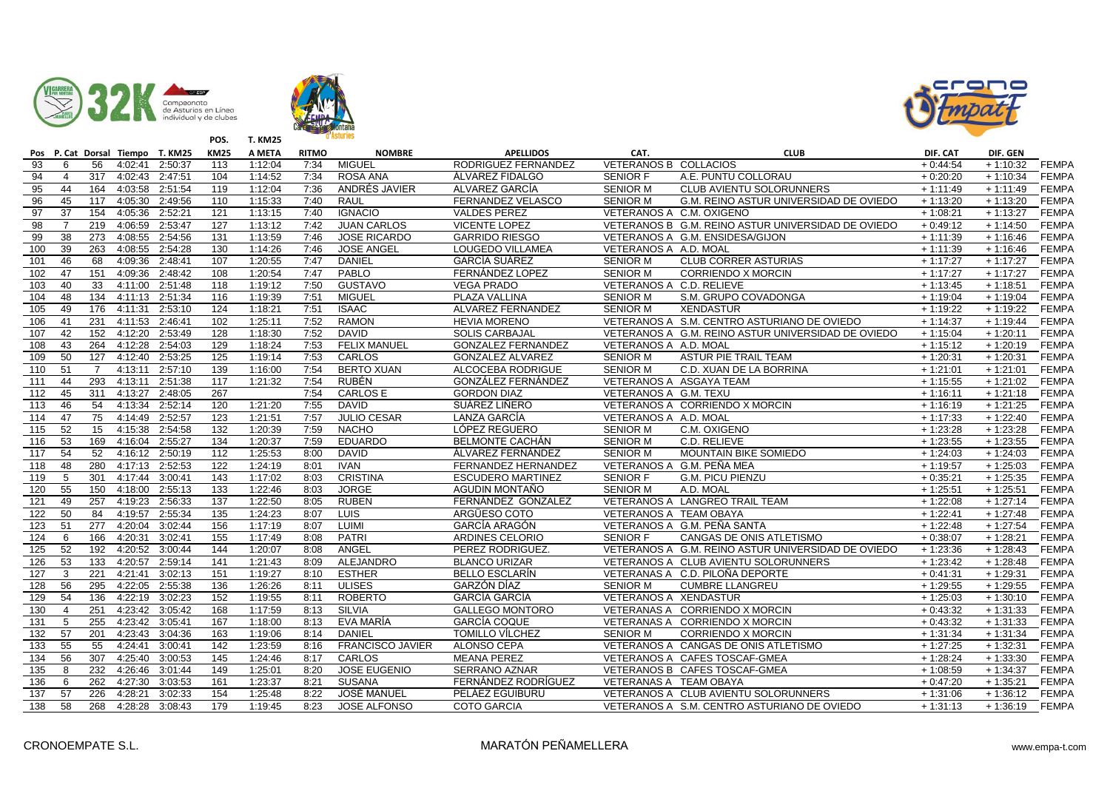





|                  |                 |                  | Pos P. Cat Dorsal Tiempo T. KM25 |                 | <b>KM25</b>      | A META  | <b>RITMO</b> | <b>NOMBRE</b>           | <b>APELLIDOS</b>          | CAT.                     | <b>CLUB</b>                                        | DIF. CAT   | DIF. GEN              |              |
|------------------|-----------------|------------------|----------------------------------|-----------------|------------------|---------|--------------|-------------------------|---------------------------|--------------------------|----------------------------------------------------|------------|-----------------------|--------------|
| 93               | 6               | 56               | 4:02:41                          | 2:50:37         | 113              | 1:12:04 | 7:34         | <b>MIGUEL</b>           | RODRIGUEZ FERNANDEZ       | VETERANOS B COLLACIOS    |                                                    | $+0:44:54$ | $+1:10:32$            | <b>FEMPA</b> |
| 94               | $\overline{4}$  | $\overline{317}$ | 4:02:43                          | 2:47:51         | 104              | 1:14:52 | 7:34         | ROSA ANA                | ÁLVAREZ FIDALGO           | <b>SENIOR F</b>          | A.E. PUNTU COLLORAU                                | $+0:20:20$ | $+1:10:34$            | <b>FEMPA</b> |
| 95               | 44              | 164              | 4:03:58                          | 2:51:54         | 119              | 1:12:04 | 7:36         | ANDRÉS JAVIER           | ALVAREZ GARCÍA            | <b>SENIOR M</b>          | CLUB AVIENTU SOLORUNNERS                           | $+1:11:49$ | $+1:11:49$            | <b>FEMPA</b> |
| 96               | 45              | 117              | 4:05:30                          | 2:49:56         | 110              | 1:15:33 | 7:40         | <b>RAUL</b>             | FERNANDEZ VELASCO         | <b>SENIOR M</b>          | G.M. REINO ASTUR UNIVERSIDAD DE OVIEDO             | $+1:13:20$ | $+1:13:20$            | <b>FEMPA</b> |
| 97               | 37              | 154              | 4:05:36                          | 2:52:21         | 121              | 1:13:15 | 7:40         | <b>IGNACIO</b>          | <b>VALDES PEREZ</b>       |                          | VETERANOS A C.M. OXIGENO                           | $+1:08:21$ | $+1:13:27$            | <b>FEMPA</b> |
| 98               | $\overline{7}$  | 219              | 4:06:59                          | 2:53:47         | 127              | 1:13:12 | 7:42         | <b>JUAN CARLOS</b>      | <b>VICENTE LOPEZ</b>      |                          | VETERANOS B G.M. REINO ASTUR UNIVERSIDAD DE OVIEDO | $+0:49:12$ | $+1:14:50$            | <b>FEMPA</b> |
| 99               | $\overline{38}$ | 273              | 4:08:55                          | 2:54:56         | 131              | 1:13:59 | 7:46         | <b>JOSE RICARDO</b>     | <b>GARRIDO RIESGO</b>     |                          | VETERANOS A G.M. ENSIDESA/GIJON                    | $+1:11:39$ | $+1:16:46$            | <b>FEMPA</b> |
| 100              | 39              | 263              | 4:08:55                          | 2:54:28         | 130              | 1:14:26 | 7:46         | <b>JOSE ANGEL</b>       | LOUGEDO VILLAMEA          | VETERANOS A A.D. MOAL    |                                                    | $+1:11:39$ | $+1:16:46$            | <b>FEMPA</b> |
| 101              | 46              | 68               | 4:09:36                          | 2:48:41         | 107              | 1:20:55 | 7:47         | <b>DANIEL</b>           | <b>GARCÍA SUÁREZ</b>      | <b>SENIOR M</b>          | <b>CLUB CORRER ASTURIAS</b>                        | $+1:17:27$ | $+1:17:27$            | <b>FEMPA</b> |
| 102              | 47              | 151              |                                  | 4:09:36 2:48:42 | 108              | 1:20:54 | 7:47         | PABLO                   | FERNÁNDEZ LOPEZ           | <b>SENIOR M</b>          | <b>CORRIENDO X MORCIN</b>                          | $+1:17:27$ | $+1:17:27$            | <b>FEMPA</b> |
| 103              | 40              | 33               | 4:11:00                          | 2:51:48         | 118              | 1:19:12 | 7:50         | <b>GUSTAVO</b>          | <b>VEGA PRADO</b>         | VETERANOS A C.D. RELIEVE |                                                    | $+1:13:45$ | $+1:18:51$            | <b>FEMPA</b> |
| 104              | 48              | 134              | 4:11:13 2:51:34                  |                 | 116              | 1:19:39 | 7:51         | MIGUEL                  | PLAZA VALLINA             | <b>SENIOR M</b>          | S.M. GRUPO COVADONGA                               | $+1:19:04$ | $+1:19:04$            | <b>FEMPA</b> |
| 105              | 49              | 176              | 4:11:31                          | 2:53:10         | 124              | 1:18:21 | 7:51         | <b>ISAAC</b>            | ALVAREZ FERNANDEZ         | <b>SENIOR M</b>          | <b>XENDASTUR</b>                                   | $+1:19:22$ | $+1:19:22$            | <b>FEMPA</b> |
| 106              | 41              | 231              | 4:11:53                          | 2:46:41         | 102              | 1:25:11 | 7:52         | <b>RAMON</b>            | <b>HEVIA MORENO</b>       |                          | VETERANOS A S.M. CENTRO ASTURIANO DE OVIEDO        | $+1:14:37$ | $+1:19:44$            | <b>FEMPA</b> |
| 107              | 42              | 152              | 4:12:20                          | 2:53:49         | 128              | 1:18:30 | 7:52         | <b>DAVID</b>            | <b>SOLIS CARBAJAL</b>     |                          | VETERANOS A G.M. REINO ASTUR UNIVERSIDAD DE OVIEDO | $+1:15:04$ | $+1:20:11$            | <b>FEMPA</b> |
| 108              | 43              | 264              | 4:12:28                          | 2:54:03         | 129              | 1:18:24 | 7:53         | <b>FELIX MANUEL</b>     | <b>GONZALEZ FERNANDEZ</b> | VETERANOS A A.D. MOAL    |                                                    | $+1:15:12$ | $+1:20:19$            | <b>FEMPA</b> |
| 109              | 50              | 127              | 4:12:40                          | 2:53:25         | 125              | 1:19:14 | 7:53         | CARLOS                  | <b>GONZALEZ ALVAREZ</b>   | <b>SENIOR M</b>          | <b>ASTUR PIE TRAIL TEAM</b>                        | $+1:20:31$ | $+1:20:31$            | <b>FEMPA</b> |
| 110              | 51              | $\overline{7}$   | 4:13:11                          | 2:57:10         | 139              | 1:16:00 | 7:54         | <b>BERTO XUAN</b>       | ALCOCEBA RODRIGUE         | <b>SENIOR M</b>          | C.D. XUAN DE LA BORRINA                            | $+1:21:01$ | $+1:21:01$            | <b>FEMPA</b> |
| 111              | 44              | 293              | 4:13:11                          | 2:51:38         | $\overline{117}$ | 1:21:32 | 7:54         | <b>RUBÉN</b>            | GONZÁLEZ FERNÁNDEZ        |                          | VETERANOS A ASGAYA TEAM                            | $+1:15:55$ | $+1:21:02$            | FEMPA        |
| 112              | 45              | 311              | 4:13:27                          | 2:48:05         | 267              |         | 7:54         | <b>CARLOS E</b>         | <b>GORDON DIAZ</b>        | VETERANOS A G.M. TEXU    |                                                    | $+1:16:11$ | $+1:21:18$            | <b>FEMPA</b> |
| 113              | 46              | 54               | 4:13:34                          | 2:52:14         | 120              | 1:21:20 | 7:55         | <b>DAVID</b>            | SUÁREZ LIÑERO             |                          | VETERANOS A CORRIENDO X MORCIN                     | $+1:16:19$ | $+1:21:25$            | <b>FEMPA</b> |
| 114              | $\overline{47}$ | 75               | 4:14:49                          | 2:52:57         | 123              | 1:21:51 | 7:57         | <b>JULIO CESAR</b>      | LANZA GARCÍA              | VETERANOS A A.D. MOAL    |                                                    | $+1:17:33$ | $+1:22:40$            | <b>FEMPA</b> |
| 115              | 52              | $\overline{15}$  | 4:15:38                          | 2:54:58         | 132              | 1:20:39 | 7:59         | <b>NACHO</b>            | LÓPEZ REGUERO             | <b>SENIOR M</b>          | C.M. OXIGENO                                       | $+1:23:28$ | $+1:23:28$            | <b>FEMPA</b> |
| 116              | 53              | 169              | 4:16:04                          | 2:55:27         | 134              | 1:20:37 | 7:59         | <b>EDUARDO</b>          | <b>BELMONTE CACHÁN</b>    | <b>SENIOR M</b>          | C.D. RELIEVE                                       | $+1:23:55$ | $+1:23:55$            | <b>FEMPA</b> |
| 117              | 54              | 52               |                                  | 4:16:12 2:50:19 | 112              | 1:25:53 | 8:00         | <b>DAVID</b>            | ÁLVAREZ FERNÁNDEZ         | <b>SENIOR M</b>          | MOUNTAIN BIKE SOMIEDO                              | $+1:24:03$ | $+1:24:03$            | <b>FEMPA</b> |
| 118              | 48              | 280              | 4:17:13                          | 2:52:53         | $\overline{122}$ | 1:24:19 | 8:01         | <b>IVAN</b>             | FERNANDEZ HERNANDEZ       |                          | VETERANOS A G.M. PEÑA MEA                          | $+1:19:57$ | $+1:25:03$            | <b>FEMPA</b> |
| 119              | 5               | 301              | 4:17:44 3:00:41                  |                 | 143              | 1:17:02 | 8:03         | <b>CRISTINA</b>         | <b>ESCUDERO MARTINEZ</b>  | <b>SENIOR F</b>          | <b>G.M. PICU PIENZU</b>                            | $+0:35:21$ | $+1:25:35$            | <b>FEMPA</b> |
| 120              | 55              | 150              | 4:18:00                          | 2:55:13         | 133              | 1:22:46 | 8:03         | <b>JORGE</b>            | AGUDIN MONTAÑO            | <b>SENIOR M</b>          | A.D. MOAL                                          | $+1:25:51$ | $+1:25:51$            | <b>FEMPA</b> |
| 121              | 49              | 257              | 4:19:23                          | 2:56:33         | 137              | 1:22:50 | 8:05         | <b>RUBEN</b>            | FERNÁNDEZ GONZALEZ        |                          | VETERANOS A LANGREO TRAIL TEAM                     | $+1:22:08$ | $+1:27:14$            | <b>FEMPA</b> |
| 122              | 50              | 84               | 4:19:57                          | 2:55:34         | 135              | 1:24:23 | 8:07         | LUIS                    | ARGÜESO COTO              | VETERANOS A TEAM OBAYA   |                                                    | $+1:22:41$ | $+1:27:48$            | <b>FEMPA</b> |
| 123              | 51              | 277              | 4:20:04                          | 3:02:44         | 156              | 1:17:19 | 8:07         | <b>LUIMI</b>            | <b>GARCÍA ARAGÓN</b>      |                          | VETERANOS A G.M. PEÑA SANTA                        | $+1:22:48$ | $+1:27:54$            | <b>FEMPA</b> |
| 124              | 6               | 166              | 4:20:31                          | 3:02:41         | 155              | 1:17:49 | 8:08         | PATRI                   | <b>ARDINES CELORIO</b>    | <b>SENIOR F</b>          | CANGAS DE ONIS ATLETISMO                           | $+0:38:07$ | $+1:28:21$            | <b>FEMPA</b> |
| $\overline{125}$ | 52              | 192              | 4:20:52                          | 3:00:44         | 144              | 1:20:07 | 8:08         | ANGEL                   | PEREZ RODRIGUEZ.          |                          | VETERANOS A G.M. REINO ASTUR UNIVERSIDAD DE OVIEDO | $+1:23:36$ | $+1:28:43$            | <b>FEMPA</b> |
| 126              | 53              | 133              | 4:20:57                          | 2:59:14         | 141              | 1:21:43 | 8:09         | <b>ALEJANDRO</b>        | <b>BLANCO URIZAR</b>      |                          | VETERANOS A CLUB AVIENTU SOLORUNNERS               | $+1:23:42$ | $+1:28:48$            | <b>FEMPA</b> |
| 127              | 3               | 221              | 4:21:41                          | 3:02:13         | 151              | 1:19:27 | 8:10         | <b>ESTHER</b>           | <b>BELLO ESCLARÍN</b>     |                          | VETERANAS A C.D. PILOÑA DEPORTE                    | $+0:41:31$ | $+1:29:31$            | <b>FEMPA</b> |
| 128              | 56              | 295              | 4:22:05                          | 2:55:38         | 136              | 1:26:26 | 8:11         | <b>ULISES</b>           | GARZÓN DÍAZ               | <b>SENIOR M</b>          | <b>CUMBRE LLANGREU</b>                             | $+1:29:55$ | $+1:29:55$            | <b>FEMPA</b> |
| 129              | 54              | 136              | 4:22:19                          | 3:02:23         | 152              | 1:19:55 | 8:11         | <b>ROBERTO</b>          | <b>GARCÍA GARCÍA</b>      | VETERANOS A XENDASTUR    |                                                    | $+1:25:03$ | $+1:30:10$            | <b>FEMPA</b> |
| 130              | $\overline{4}$  | 251              | 4:23:42                          | 3:05:42         | 168              | 1:17:59 | 8:13         | <b>SILVIA</b>           | <b>GALLEGO MONTORO</b>    |                          | VETERANAS A CORRIENDO X MORCIN                     | $+0:43:32$ | $+1:31:33$            | <b>FEMPA</b> |
| 131              | 5               | 255              | 4:23:42                          | 3:05:41         | 167              | 1:18:00 | 8:13         | EVA MARÍA               | <b>GARCÍA COQUE</b>       |                          | VETERANAS A CORRIENDO X MORCIN                     | $+0:43:32$ | $+1:31:33$            | <b>FEMPA</b> |
| 132              | 57              | 201              | 4:23:43                          | 3:04:36         | 163              | 1:19:06 | 8:14         | <b>DANIEL</b>           | <b>TOMILLO VÍLCHEZ</b>    | <b>SENIOR M</b>          | <b>CORRIENDO X MORCIN</b>                          | $+1:31:34$ | $+1:31:\overline{34}$ | <b>FEMPA</b> |
| 133              | 55              | 55               | 4:24:41                          | 3:00:41         | 142              | 1:23:59 | 8:16         | <b>FRANCISCO JAVIER</b> | ALONSO CEPA               |                          | VETERANOS A CANGAS DE ONIS ATLETISMO               | $+1:27:25$ | $+1:32:31$            | <b>FEMPA</b> |
| 134              | 56              | 307              | 4:25:40                          | 3:00:53         | 145              | 1:24:46 | 8:17         | CARLOS                  | <b>MEANA PEREZ</b>        |                          | VETERANOS A CAFES TOSCAF-GMEA                      | $+1:28:24$ | $+1:33:30$            | <b>FEMPA</b> |
| $\overline{135}$ | 8               | 232              | 4:26:46                          | 3:01:44         | 149              | 1:25:01 | 8:20         | <b>JOSE EUGENIO</b>     | SERRANO AZNAR             |                          | VETERANOS B CAFES TOSCAF-GMEA                      | $+1:08:59$ | $+1:34:37$            | <b>FEMPA</b> |
| 136              | 6               | 262              | 4:27:30                          | 3:03:53         | 161              | 1:23:37 | 8:21         | <b>SUSANA</b>           | FERNÁNDEZ RODRÍGUEZ       | VETERANAS A TEAM OBAYA   |                                                    | $+0:47:20$ | $+1:35:21$            | <b>FEMPA</b> |
| 137              | 57              | 226              | 4:28:21                          | 3:02:33         | 154              | 1:25:48 | 8:22         | <b>JOSÉ MANUEL</b>      | PELÁEZ EGUIBURU           |                          | VETERANOS A CLUB AVIENTU SOLORUNNERS               | $+1:31:06$ | $+1:36:12$            | <b>FEMPA</b> |
| 138              | 58              | 268              |                                  | 4:28:28 3:08:43 | 179              | 1:19:45 | 8:23         | JOSE ALFONSO            | <b>COTO GARCIA</b>        |                          | VETERANOS A S.M. CENTRO ASTURIANO DE OVIEDO        | $+1:31:13$ | $+1:36:19$            | <b>FEMPA</b> |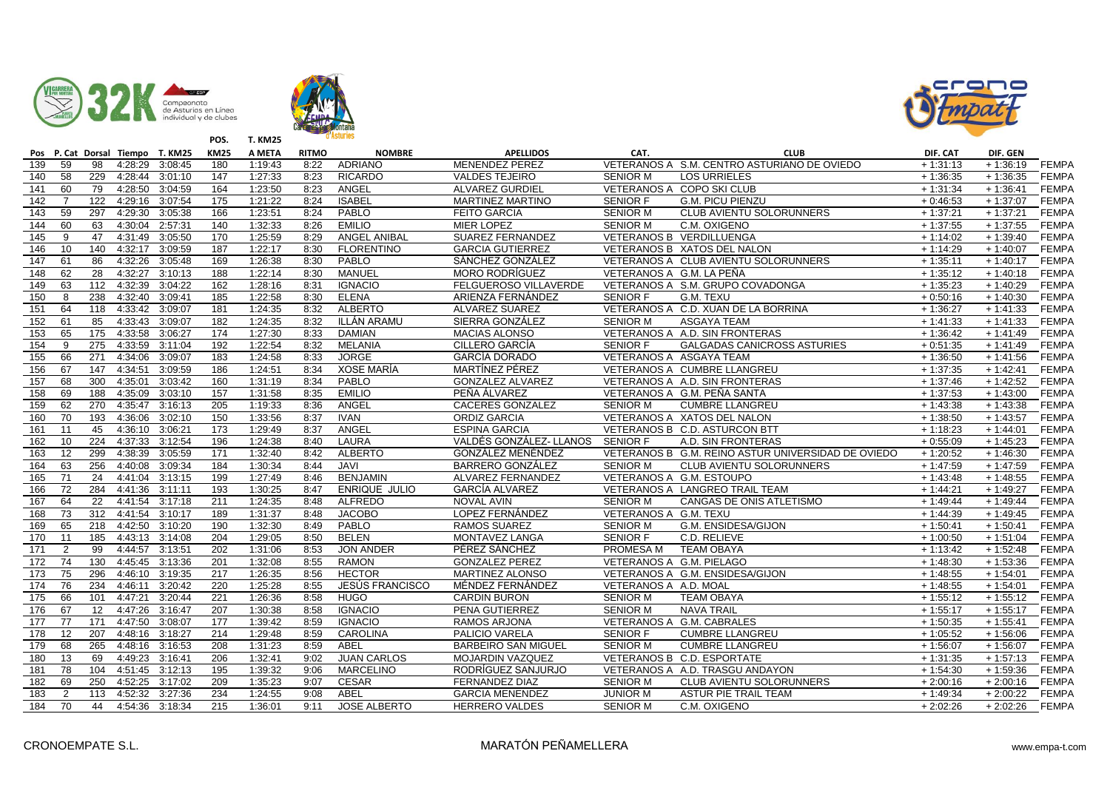





|                  |                 |                 | Pos P. Cat Dorsal Tiempo T. KM25 |                 | <b>KM25</b>      | A META  | <b>RITMO</b> | <b>NOMBRE</b>        | <b>APELLIDOS</b>           | CAT.                     | <b>CLUB</b>                                        | DIF. CAT   | DIF. GEN   |              |
|------------------|-----------------|-----------------|----------------------------------|-----------------|------------------|---------|--------------|----------------------|----------------------------|--------------------------|----------------------------------------------------|------------|------------|--------------|
| 139              | 59              | 98              | 4:28:29                          | 3:08:45         | 180              | 1:19:43 | 8:22         | <b>ADRIANO</b>       | <b>MENENDEZ PEREZ</b>      |                          | VETERANOS A S.M. CENTRO ASTURIANO DE OVIEDO        | $+1:31:13$ | $+1:36:19$ | <b>FEMPA</b> |
| $\overline{140}$ | $\overline{58}$ | 229             | 4:28:44                          | 3:01:10         | 147              | 1:27:33 | 8:23         | <b>RICARDO</b>       | <b>VALDES TEJEIRO</b>      | <b>SENIOR M</b>          | <b>LOS URRIELES</b>                                | $+1:36:35$ | $+1:36:35$ | <b>FEMPA</b> |
| 141              | 60              | 79              | 4:28:50                          | 3:04:59         | 164              | 1:23:50 | 8:23         | ANGEL                | <b>ALVAREZ GURDIEL</b>     |                          | VETERANOS A COPO SKI CLUB                          | $+1:31:34$ | $+1:36:41$ | <b>FEMPA</b> |
| 142              | $\overline{7}$  | 122             |                                  | 4:29:16 3:07:54 | 175              | 1:21:22 | 8:24         | <b>ISABEL</b>        | <b>MARTINEZ MARTINO</b>    | <b>SENIOR F</b>          | <b>G.M. PICU PIENZU</b>                            | $+0:46:53$ | $+1:37:07$ | <b>FEMPA</b> |
| 143              | 59              | 297             |                                  | 4:29:30 3:05:38 | 166              | 1:23:51 | 8:24         | PABLO                | <b>FEITO GARCIA</b>        | <b>SENIOR M</b>          | <b>CLUB AVIENTU SOLORUNNERS</b>                    | $+1:37:21$ | $+1:37:21$ | <b>FEMPA</b> |
| 144              | 60              | 63              | 4:30:04                          | 2:57:31         | 140              | 1:32:33 | 8:26         | <b>EMILIO</b>        | <b>MIER LOPEZ</b>          | <b>SENIOR M</b>          | C.M. OXIGENO                                       | $+1:37:55$ | $+1:37:55$ | <b>FEMPA</b> |
| 145              | 9               | 47              | 4:31:49                          | 3:05:50         | 170              | 1:25:59 | 8:29         | <b>ANGEL ANIBAL</b>  | <b>SUAREZ FERNANDEZ</b>    |                          | VETERANOS B VERDILLUENGA                           | $+1:14:02$ | $+1:39:40$ | <b>FEMPA</b> |
| 146              | 10              | 140             |                                  | 4:32:17 3:09:59 | 187              | 1:22:17 | 8:30         | <b>FLORENTINO</b>    | <b>GARCIA GUTIERREZ</b>    |                          | VETERANOS B XATOS DEL NALON                        | $+1:14:29$ | $+1:40:07$ | <b>FEMPA</b> |
| 147              | 61              | 86              | 4:32:26                          | 3:05:48         | 169              | 1:26:38 | 8:30         | PABLO                | SÁNCHEZ GONZÁLEZ           |                          | VETERANOS A CLUB AVIENTU SOLORUNNERS               | $+1:35:11$ | $+1:40:17$ | <b>FEMPA</b> |
| 148              | 62              | $\overline{28}$ | 4:32:27                          | 3:10:13         | 188              | 1:22:14 | 8:30         | MANUEL               | <b>MORO RODRÍGUEZ</b>      | VETERANOS A G.M. LA PEÑA |                                                    | $+1:35:12$ | $+1:40:18$ | <b>FEMPA</b> |
| 149              | 63              | 112             | 4:32:39                          | 3:04:22         | 162              | 1:28:16 | 8:31         | <b>IGNACIO</b>       | FELGUEROSO VILLAVERDE      |                          | VETERANOS A S.M. GRUPO COVADONGA                   | $+1:35:23$ | $+1:40:29$ | <b>FEMPA</b> |
| 150              | 8               | 238             | 4:32:40 3:09:41                  |                 | 185              | 1:22:58 | 8:30         | <b>ELENA</b>         | ARIENZA FERNÁNDEZ          | <b>SENIOR F</b>          | G.M. TEXU                                          | $+0:50:16$ | $+1:40:30$ | <b>FEMPA</b> |
| 151              | 64              | 118             | 4:33:42 3:09:07                  |                 | 181              | 1:24:35 | 8:32         | <b>ALBERTO</b>       | ALVAREZ SUAREZ             |                          | VETERANOS A C.D. XUAN DE LA BORRINA                | $+1:36:27$ | $+1:41:33$ | <b>FEMPA</b> |
| 152              | 61              | 85              | 4:33:43                          | 3:09:07         | 182              | 1:24:35 | 8:32         | ILLÁN ARAMU          | SIERRA GONZÁLEZ            | <b>SENIOR M</b>          | <b>ASGAYA TEAM</b>                                 | $+1:41:33$ | $+1:41:33$ | <b>FEMPA</b> |
| 153              | 65              | 175             | 4:33:58 3:06:27                  |                 | 174              | 1:27:30 | 8:33         | <b>DAMIAN</b>        | <b>MACIAS ALONSO</b>       |                          | VETERANOS A A.D. SIN FRONTERAS                     | $+1:36:42$ | $+1:41:49$ | <b>FEMPA</b> |
| 154              | 9               | 275             | 4:33:59 3:11:04                  |                 | 192              | 1:22:54 | 8:32         | <b>MELANIA</b>       | CILLERO GARCÍA             | <b>SENIOR F</b>          | <b>GALGADAS CANICROSS ASTURIES</b>                 | $+0:51:35$ | $+1:41:49$ | <b>FEMPA</b> |
| 155              | 66              | 271             | 4:34:06                          | 3:09:07         | 183              | 1:24:58 | 8:33         | <b>JORGE</b>         | <b>GARCÍA DORADO</b>       | VETERANOS A ASGAYA TEAM  |                                                    | $+1:36:50$ | $+1:41:56$ | <b>FEMPA</b> |
| 156              | 67              | 147             | 4:34:51 3:09:59                  |                 | 186              | 1:24:51 | 8:34         | XOSE MARÍA           | MARTÍNEZ PÉREZ             |                          | VETERANOS A CUMBRE LLANGREU                        | $+1:37:35$ | $+1:42:41$ | <b>FEMPA</b> |
| 157              | 68              | 300             | 4:35:01                          | 3:03:42         | 160              | 1:31:19 | 8:34         | PABLO                | <b>GONZALEZ ALVAREZ</b>    |                          | VETERANOS A A.D. SIN FRONTERAS                     | $+1:37:46$ | $+1:42:52$ | <b>FEMPA</b> |
| 158              | 69              | 188             | 4:35:09                          | 3:03:10         | 157              | 1:31:58 | 8:35         | <b>EMILIO</b>        | PEÑA ÁLVAREZ               |                          | VETERANOS A G.M. PEÑA SANTA                        | $+1:37:53$ | $+1:43:00$ | <b>FEMPA</b> |
| 159              | 62              | 270             | 4:35:47                          | 3:16:13         | 205              | 1:19:33 | 8:36         | ANGEL                | <b>CACERES GONZALEZ</b>    | <b>SENIOR M</b>          | <b>CUMBRE LLANGREU</b>                             | $+1:43:38$ | $+1:43:38$ | <b>FEMPA</b> |
| 160              | 70              | 193             | 4:36:06                          | 3:02:10         | 150              | 1:33:56 | 8:37         | <b>IVAN</b>          | <b>ORDIZ GARCIA</b>        |                          | VETERANOS A XATOS DEL NALON                        | $+1:38:50$ | $+1:43:57$ | <b>FEMPA</b> |
| 161              | 11              | 45              | 4:36:10 3:06:21                  |                 | 173              | 1:29:49 | 8:37         | ANGEL                | <b>ESPINA GARCIA</b>       |                          | VETERANOS B C.D. ASTURCON BTT                      | $+1:18:23$ | $+1:44:01$ | <b>FEMPA</b> |
| 162              | 10              | 224             | 4:37:33                          | 3:12:54         | 196              | 1:24:38 | 8:40         | LAURA                | VALDÉS GONZÁLEZ- LLANOS    | <b>SENIOR F</b>          | A.D. SIN FRONTERAS                                 | $+0:55:09$ | $+1:45:23$ | <b>FEMPA</b> |
| 163              | 12              | 299             | 4:38:39                          | 3:05:59         | 171              | 1:32:40 | 8:42         | <b>ALBERTO</b>       | GONZÁLEZ MENÉNDEZ          |                          | VETERANOS B G.M. REINO ASTUR UNIVERSIDAD DE OVIEDO | $+1:20:52$ | $+1:46:30$ | <b>FEMPA</b> |
| 164              | 63              | 256             | 4:40:08                          | 3:09:34         | 184              | 1:30:34 | 8:44         | <b>JAVI</b>          | <b>BARRERO GONZÁLEZ</b>    | <b>SENIOR M</b>          | CLUB AVIENTU SOLORUNNERS                           | $+1:47:59$ | $+1:47:59$ | <b>FEMPA</b> |
| 165              | 71              | 24              | 4:41:04                          | 3:13:15         | 199              | 1:27:49 | 8:46         | <b>BENJAMIN</b>      | ALVAREZ FERNANDEZ          |                          | VETERANOS A G.M. ESTOUPO                           | $+1:43:48$ | $+1:48:55$ | <b>FEMPA</b> |
| 166              | 72              | 284             | 4:41:36 3:11:11                  |                 | 193              | 1:30:25 | 8:47         | <b>ENRIQUE JULIO</b> | GARCÍA ALVAREZ             |                          | VETERANOS A LANGREO TRAIL TEAM                     | $+1:44:21$ | $+1:49:27$ | <b>FEMPA</b> |
| 167              | 64              | $\overline{22}$ | 4:41:54 3:17:18                  |                 | 211              | 1:24:35 | 8:48         | <b>ALFREDO</b>       | <b>NOVAL AVIN</b>          | <b>SENIOR M</b>          | CANGAS DE ONIS ATLETISMO                           | $+1:49:44$ | $+1:49:44$ | <b>FEMPA</b> |
| 168              | 73              | 312             | 4:41:54                          | 3:10:17         | 189              | 1:31:37 | 8:48         | <b>JACOBO</b>        | LOPEZ FERNÁNDEZ            | VETERANOS A G.M. TEXU    |                                                    | $+1:44:39$ | $+1:49:45$ | <b>FEMPA</b> |
| 169              | 65              | 218             | 4:42:50 3:10:20                  |                 | 190              | 1:32:30 | 8:49         | PABLO                | RAMOS SUAREZ               | <b>SENIOR M</b>          | G.M. ENSIDESA/GIJON                                | $+1:50:41$ | $+1:50:41$ | <b>FEMPA</b> |
| 170              | 11              | 185             |                                  | 4:43:13 3:14:08 | $\overline{204}$ | 1:29:05 | 8:50         | <b>BELEN</b>         | MONTAVEZ LANGA             | <b>SENIOR F</b>          | C.D. RELIEVE                                       | $+1:00:50$ | $+1:51:04$ | <b>FEMPA</b> |
| 171              | $\overline{2}$  | 99              | 4:44:57                          | 3:13:51         | 202              | 1:31:06 | 8:53         | <b>JON ANDER</b>     | PÉREZ SÁNCHEZ              | PROMESA M                | <b>TEAM OBAYA</b>                                  | $+1:13:42$ | $+1:52:48$ | <b>FEMPA</b> |
| 172              | $\overline{74}$ | 130             | 4:45:45                          | 3:13:36         | 201              | 1:32:08 | 8:55         | <b>RAMON</b>         | <b>GONZALEZ PEREZ</b>      | VETERANOS A G.M. PIELAGO |                                                    | $+1:48:30$ | $+1:53:36$ | <b>FEMPA</b> |
| 173              | $\overline{75}$ | 296             | 4:46:10                          | 3:19:35         | 217              | 1:26:35 | 8:56         | <b>HECTOR</b>        | MARTINEZ ALONSO            |                          | VETERANOS A G.M. ENSIDESA/GIJON                    | $+1:48:55$ | $+1:54:01$ | <b>FEMPA</b> |
| 174              | 76              | 234             | 4:46:11                          | 3:20:42         | 220              | 1:25:28 | 8:55         | JESÚS FRANCISCO      | MÉNDEZ FERNÁNDEZ           | VETERANOS A A.D. MOAL    |                                                    | $+1:48:55$ | $+1:54:01$ | <b>FEMPA</b> |
| 175              | 66              | 101             | 4:47:21                          | 3:20:44         | $\overline{221}$ | 1:26:36 | 8:58         | <b>HUGO</b>          | <b>CARDIN BURON</b>        | <b>SENIOR M</b>          | <b>TEAM OBAYA</b>                                  | $+1:55:12$ | $+1:55:12$ | <b>FEMPA</b> |
| 176              | 67              | 12              | 4:47:26                          | 3:16:47         | 207              | 1:30:38 | 8:58         | <b>IGNACIO</b>       | PENA GUTIERREZ             | <b>SENIOR M</b>          | <b>NAVA TRAIL</b>                                  | $+1:55:17$ | $+1:55:17$ | <b>FEMPA</b> |
| 177              | 77              | 171             | 4:47:50                          | 3:08:07         | 177              | 1:39:42 | 8:59         | <b>IGNACIO</b>       | <b>RAMOS ARJONA</b>        |                          | VETERANOS A G.M. CABRALES                          | $+1:50:35$ | $+1:55:41$ | <b>FEMPA</b> |
| 178              | 12              | 207             | 4:48:16                          | 3:18:27         | 214              | 1:29:48 | 8:59         | <b>CAROLINA</b>      | PALICIO VARELA             | <b>SENIOR F</b>          | <b>CUMBRE LLANGREU</b>                             | $+1:05:52$ | $+1:56:06$ | <b>FEMPA</b> |
| 179              | 68              | 265             | 4:48:16                          | 3:16:53         | 208              | 1:31:23 | 8:59         | ABEL                 | <b>BARBEIRO SAN MIGUEL</b> | <b>SENIOR M</b>          | <b>CUMBRE LLANGREU</b>                             | $+1:56:07$ | $+1:56:07$ | <b>FEMPA</b> |
| 180              | 13              | 69              | 4:49:23 3:16:41                  |                 | 206              | 1:32:41 | 9:02         | <b>JUAN CARLOS</b>   | MOJARDIN VAZQUEZ           |                          | VETERANOS B C.D. ESPORTATE                         | $+1:31:35$ | $+1:57:13$ | <b>FEMPA</b> |
| 181              | 78              | 104             | 4:51:45                          | 3:12:13         | 195              | 1:39:32 | 9:06         | <b>MARCELINO</b>     | RODRÍGUEZ SANJURJO         |                          | VETERANOS A A.D. TRASGU ANDAYON                    | $+1:54:30$ | $+1:59:36$ | <b>FEMPA</b> |
| 182              | 69              | 250             | 4:52:25                          | 3:17:02         | 209              | 1:35:23 | 9:07         | <b>CESAR</b>         | <b>FERNANDEZ DIAZ</b>      | <b>SENIOR M</b>          | CLUB AVIENTU SOLORUNNERS                           | $+2:00:16$ | $+2:00:16$ | <b>FEMPA</b> |
| 183              | 2               | 113             | 4:52:32                          | 3:27:36         | 234              | 1:24:55 | 9:08         | ABEL                 | <b>GARCIA MENENDEZ</b>     | <b>JUNIOR M</b>          | ASTUR PIE TRAIL TEAM                               | $+1:49:34$ | $+2:00:22$ | <b>FEMPA</b> |
| 184              | $\overline{70}$ | 44              |                                  | 4:54:36 3:18:34 | $\overline{215}$ | 1:36:01 | 9:11         | <b>JOSE ALBERTO</b>  | <b>HERRERO VALDES</b>      | <b>SENIOR M</b>          | C.M. OXIGENO                                       | $+2:02:26$ | $+2:02:26$ | <b>FEMPA</b> |
|                  |                 |                 |                                  |                 |                  |         |              |                      |                            |                          |                                                    |            |            |              |